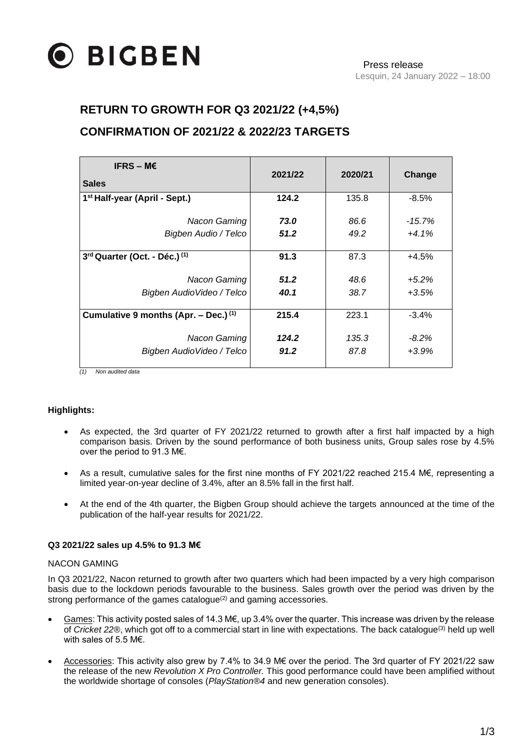

## **RETURN TO GROWTH FOR Q3 2021/22 (+4,5%)**

# **CONFIRMATION OF 2021/22 & 2022/23 TARGETS**

| IFRS – ME                                          | 2021/22 | 2020/21 | Change    |
|----------------------------------------------------|---------|---------|-----------|
| <b>Sales</b>                                       |         |         |           |
| 1 <sup>st</sup> Half-year (April - Sept.)          | 124.2   | 135.8   | $-8.5%$   |
| Nacon Gaming                                       | 73.0    | 86.6    | $-15.7\%$ |
| Bigben Audio / Telco                               | 51.2    | 49.2    | $+4.1%$   |
| 3rd Quarter (Oct. - Déc.) <sup>(1)</sup>           | 91.3    | 87.3    | $+4.5%$   |
| Nacon Gaming                                       | 51.2    | 48.6    | $+5.2%$   |
| Bigben Audio Video / Telco                         | 40.1    | 38.7    | $+3.5%$   |
| Cumulative 9 months (Apr. $-$ Dec.) <sup>(1)</sup> | 215.4   | 223.1   | $-3.4%$   |
| Nacon Gaming                                       | 124.2   | 135.3   | $-8.2\%$  |
| Bigben AudioVideo / Telco                          | 91.2    | 87.8    | $+3.9%$   |
| (1)<br>Non oudited date                            |         |         |           |

*(1) Non audited data*

### **Highlights:**

- As expected, the 3rd quarter of FY 2021/22 returned to growth after a first half impacted by a high comparison basis. Driven by the sound performance of both business units, Group sales rose by 4.5% over the period to 91.3 M€.
- As a result, cumulative sales for the first nine months of FY 2021/22 reached 215.4 M€, representing a limited year-on-year decline of 3.4%, after an 8.5% fall in the first half.
- At the end of the 4th quarter, the Bigben Group should achieve the targets announced at the time of the publication of the half-year results for 2021/22.

### **Q3 2021/22 sales up 4.5% to 91.3 M€**

#### NACON GAMING

In Q3 2021/22, Nacon returned to growth after two quarters which had been impacted by a very high comparison basis due to the lockdown periods favourable to the business. Sales growth over the period was driven by the strong performance of the games catalogue<sup>(2)</sup> and gaming accessories.

- Games: This activity posted sales of 14.3 M€, up 3.4% over the quarter. This increase was driven by the release of *Cricket 22®*, which got off to a commercial start in line with expectations. The back catalogue(3) held up well with sales of 5.5 M€.
- Accessories: This activity also grew by 7.4% to 34.9 M€ over the period. The 3rd quarter of FY 2021/22 saw the release of the new *Revolution X Pro Controller.* This good performance could have been amplified without the worldwide shortage of consoles (*PlayStation®4* and new generation consoles).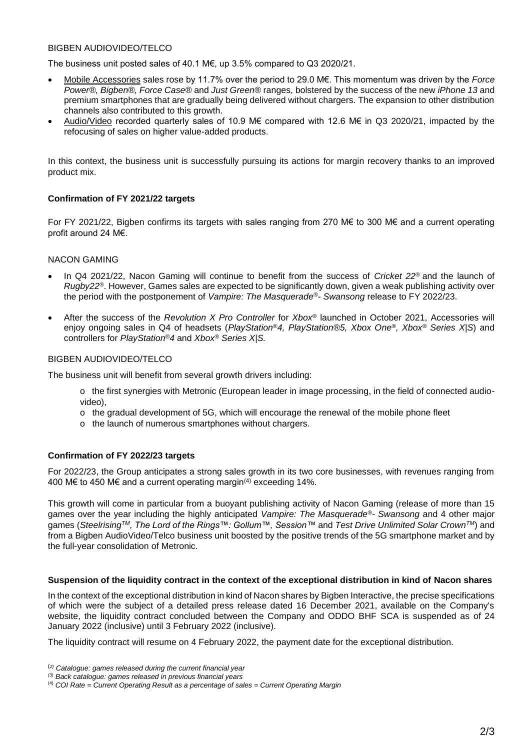### BIGBEN AUDIOVIDEO/TELCO

The business unit posted sales of 40.1 M€, up 3.5% compared to Q3 2020/21.

- Mobile Accessories sales rose by 11.7% over the period to 29.0 M€. This momentum was driven by the *Force Power®, Bigben®, Force Case®* and *Just Green®* ranges, bolstered by the success of the new *iPhone 13* and premium smartphones that are gradually being delivered without chargers. The expansion to other distribution channels also contributed to this growth.
- Audio/Video recorded quarterly sales of 10.9 M€ compared with 12.6 M€ in Q3 2020/21, impacted by the refocusing of sales on higher value-added products.

In this context, the business unit is successfully pursuing its actions for margin recovery thanks to an improved product mix.

### **Confirmation of FY 2021/22 targets**

For FY 2021/22, Bigben confirms its targets with sales ranging from 270 M€ to 300 M€ and a current operating profit around 24 M€.

### NACON GAMING

- In Q4 2021/22, Nacon Gaming will continue to benefit from the success of *Cricket 22®* and the launch of *Rugby22®*. However, Games sales are expected to be significantly down, given a weak publishing activity over the period with the postponement of *Vampire: The Masquerade®- Swansong* release to FY 2022/23.
- After the success of the *Revolution X Pro Controller* for *Xbox®* launched in October 2021, Accessories will enjoy ongoing sales in Q4 of headsets (*PlayStation®4, PlayStation®5, Xbox One®, Xbox® Series X|S*) and controllers for *PlayStation®4* and *Xbox® Series X|S.*

#### BIGBEN AUDIOVIDEO/TELCO

The business unit will benefit from several growth drivers including:

- o the first synergies with Metronic (European leader in image processing, in the field of connected audiovideo),
- o the gradual development of 5G, which will encourage the renewal of the mobile phone fleet
- o the launch of numerous smartphones without chargers.

### **Confirmation of FY 2022/23 targets**

For 2022/23, the Group anticipates a strong sales growth in its two core businesses, with revenues ranging from 400 M€ to 450 M€ and a current operating margin(4) exceeding 14%.

This growth will come in particular from a buoyant publishing activity of Nacon Gaming (release of more than 15 games over the year including the highly anticipated *Vampire: The Masquerade®- Swansong* and 4 other major games (*SteelrisingTM, The Lord of the Rings™: Gollum™, Session™* and *Test Drive Unlimited Solar CrownTM*) and from a Bigben AudioVideo/Telco business unit boosted by the positive trends of the 5G smartphone market and by the full-year consolidation of Metronic.

#### **Suspension of the liquidity contract in the context of the exceptional distribution in kind of Nacon shares**

In the context of the exceptional distribution in kind of Nacon shares by Bigben Interactive, the precise specifications of which were the subject of a detailed press release dated 16 December 2021, available on the Company's website, the liquidity contract concluded between the Company and ODDO BHF SCA is suspended as of 24 January 2022 (inclusive) until 3 February 2022 (inclusive).

The liquidity contract will resume on 4 February 2022, the payment date for the exceptional distribution.

<sup>(</sup>*2) Catalogue: games released during the current financial year*

*<sup>(3)</sup> Back catalogue: games released in previous financial years*

<sup>(4)</sup> *COI Rate = Current Operating Result as a percentage of sales = Current Operating Margin*